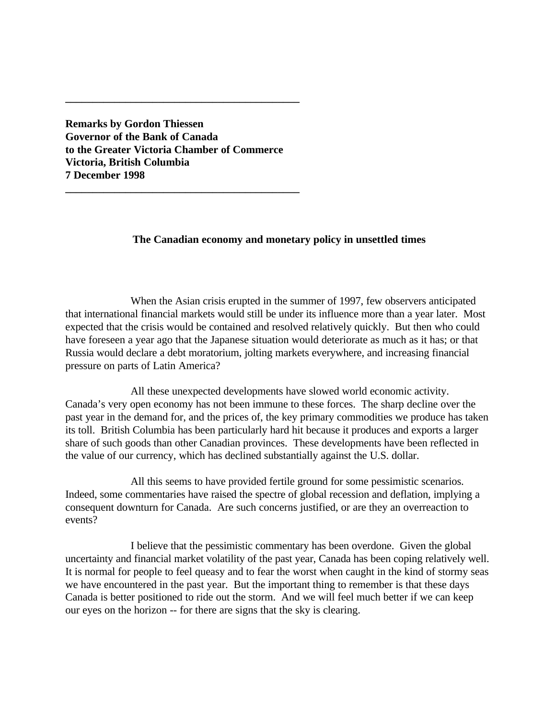**Remarks by Gordon Thiessen Governor of the Bank of Canada to the Greater Victoria Chamber of Commerce Victoria, British Columbia 7 December 1998**

**\_\_\_\_\_\_\_\_\_\_\_\_\_\_\_\_\_\_\_\_\_\_\_\_\_\_\_\_\_\_\_\_\_\_\_\_\_\_\_\_\_\_\_**

**\_\_\_\_\_\_\_\_\_\_\_\_\_\_\_\_\_\_\_\_\_\_\_\_\_\_\_\_\_\_\_\_\_\_\_\_\_\_\_\_\_\_\_**

# **The Canadian economy and monetary policy in unsettled times**

When the Asian crisis erupted in the summer of 1997, few observers anticipated that international financial markets would still be under its influence more than a year later. Most expected that the crisis would be contained and resolved relatively quickly. But then who could have foreseen a year ago that the Japanese situation would deteriorate as much as it has; or that Russia would declare a debt moratorium, jolting markets everywhere, and increasing financial pressure on parts of Latin America?

All these unexpected developments have slowed world economic activity. Canada's very open economy has not been immune to these forces. The sharp decline over the past year in the demand for, and the prices of, the key primary commodities we produce has taken its toll. British Columbia has been particularly hard hit because it produces and exports a larger share of such goods than other Canadian provinces. These developments have been reflected in the value of our currency, which has declined substantially against the U.S. dollar.

All this seems to have provided fertile ground for some pessimistic scenarios. Indeed, some commentaries have raised the spectre of global recession and deflation, implying a consequent downturn for Canada. Are such concerns justified, or are they an overreaction to events?

I believe that the pessimistic commentary has been overdone. Given the global uncertainty and financial market volatility of the past year, Canada has been coping relatively well. It is normal for people to feel queasy and to fear the worst when caught in the kind of stormy seas we have encountered in the past year. But the important thing to remember is that these days Canada is better positioned to ride out the storm. And we will feel much better if we can keep our eyes on the horizon -- for there are signs that the sky is clearing.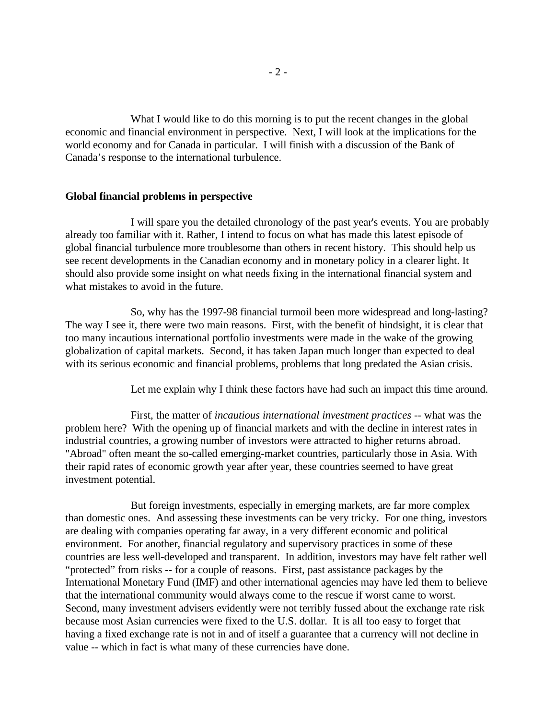What I would like to do this morning is to put the recent changes in the global economic and financial environment in perspective. Next, I will look at the implications for the world economy and for Canada in particular. I will finish with a discussion of the Bank of Canada's response to the international turbulence.

# **Global financial problems in perspective**

I will spare you the detailed chronology of the past year's events. You are probably already too familiar with it. Rather, I intend to focus on what has made this latest episode of global financial turbulence more troublesome than others in recent history. This should help us see recent developments in the Canadian economy and in monetary policy in a clearer light. It should also provide some insight on what needs fixing in the international financial system and what mistakes to avoid in the future.

So, why has the 1997-98 financial turmoil been more widespread and long-lasting? The way I see it, there were two main reasons. First, with the benefit of hindsight, it is clear that too many incautious international portfolio investments were made in the wake of the growing globalization of capital markets. Second, it has taken Japan much longer than expected to deal with its serious economic and financial problems, problems that long predated the Asian crisis.

Let me explain why I think these factors have had such an impact this time around.

First, the matter of *incautious international investment practices* -- what was the problem here? With the opening up of financial markets and with the decline in interest rates in industrial countries, a growing number of investors were attracted to higher returns abroad. "Abroad" often meant the so-called emerging-market countries, particularly those in Asia. With their rapid rates of economic growth year after year, these countries seemed to have great investment potential.

But foreign investments, especially in emerging markets, are far more complex than domestic ones. And assessing these investments can be very tricky. For one thing, investors are dealing with companies operating far away, in a very different economic and political environment. For another, financial regulatory and supervisory practices in some of these countries are less well-developed and transparent. In addition, investors may have felt rather well "protected" from risks -- for a couple of reasons. First, past assistance packages by the International Monetary Fund (IMF) and other international agencies may have led them to believe that the international community would always come to the rescue if worst came to worst. Second, many investment advisers evidently were not terribly fussed about the exchange rate risk because most Asian currencies were fixed to the U.S. dollar. It is all too easy to forget that having a fixed exchange rate is not in and of itself a guarantee that a currency will not decline in value -- which in fact is what many of these currencies have done.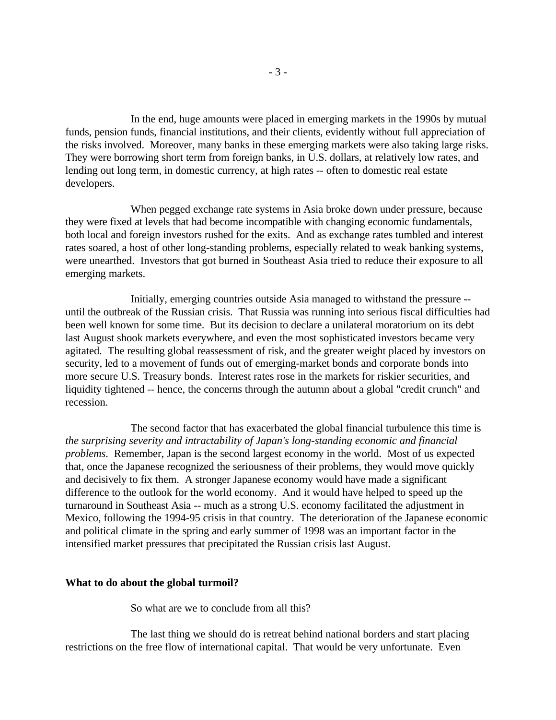In the end, huge amounts were placed in emerging markets in the 1990s by mutual funds, pension funds, financial institutions, and their clients, evidently without full appreciation of the risks involved. Moreover, many banks in these emerging markets were also taking large risks. They were borrowing short term from foreign banks, in U.S. dollars, at relatively low rates, and lending out long term, in domestic currency, at high rates -- often to domestic real estate developers.

When pegged exchange rate systems in Asia broke down under pressure, because they were fixed at levels that had become incompatible with changing economic fundamentals, both local and foreign investors rushed for the exits. And as exchange rates tumbled and interest rates soared, a host of other long-standing problems, especially related to weak banking systems, were unearthed. Investors that got burned in Southeast Asia tried to reduce their exposure to all emerging markets.

Initially, emerging countries outside Asia managed to withstand the pressure - until the outbreak of the Russian crisis. That Russia was running into serious fiscal difficulties had been well known for some time. But its decision to declare a unilateral moratorium on its debt last August shook markets everywhere, and even the most sophisticated investors became very agitated. The resulting global reassessment of risk, and the greater weight placed by investors on security, led to a movement of funds out of emerging-market bonds and corporate bonds into more secure U.S. Treasury bonds. Interest rates rose in the markets for riskier securities, and liquidity tightened -- hence, the concerns through the autumn about a global "credit crunch" and recession.

The second factor that has exacerbated the global financial turbulence this time is *the surprising severity and intractability of Japan's long-standing economic and financial problems*. Remember, Japan is the second largest economy in the world. Most of us expected that, once the Japanese recognized the seriousness of their problems, they would move quickly and decisively to fix them. A stronger Japanese economy would have made a significant difference to the outlook for the world economy. And it would have helped to speed up the turnaround in Southeast Asia -- much as a strong U.S. economy facilitated the adjustment in Mexico, following the 1994-95 crisis in that country. The deterioration of the Japanese economic and political climate in the spring and early summer of 1998 was an important factor in the intensified market pressures that precipitated the Russian crisis last August.

#### **What to do about the global turmoil?**

So what are we to conclude from all this?

The last thing we should do is retreat behind national borders and start placing restrictions on the free flow of international capital. That would be very unfortunate. Even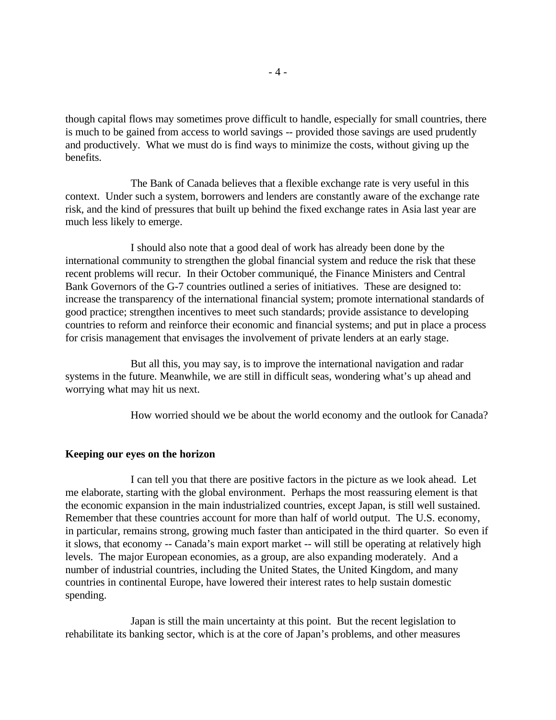though capital flows may sometimes prove difficult to handle, especially for small countries, there is much to be gained from access to world savings -- provided those savings are used prudently and productively. What we must do is find ways to minimize the costs, without giving up the benefits.

The Bank of Canada believes that a flexible exchange rate is very useful in this context. Under such a system, borrowers and lenders are constantly aware of the exchange rate risk, and the kind of pressures that built up behind the fixed exchange rates in Asia last year are much less likely to emerge.

I should also note that a good deal of work has already been done by the international community to strengthen the global financial system and reduce the risk that these recent problems will recur. In their October communiqué, the Finance Ministers and Central Bank Governors of the G-7 countries outlined a series of initiatives. These are designed to: increase the transparency of the international financial system; promote international standards of good practice; strengthen incentives to meet such standards; provide assistance to developing countries to reform and reinforce their economic and financial systems; and put in place a process for crisis management that envisages the involvement of private lenders at an early stage.

But all this, you may say, is to improve the international navigation and radar systems in the future. Meanwhile, we are still in difficult seas, wondering what's up ahead and worrying what may hit us next.

How worried should we be about the world economy and the outlook for Canada?

# **Keeping our eyes on the horizon**

I can tell you that there are positive factors in the picture as we look ahead. Let me elaborate, starting with the global environment. Perhaps the most reassuring element is that the economic expansion in the main industrialized countries, except Japan, is still well sustained. Remember that these countries account for more than half of world output. The U.S. economy, in particular, remains strong, growing much faster than anticipated in the third quarter. So even if it slows, that economy -- Canada's main export market -- will still be operating at relatively high levels. The major European economies, as a group, are also expanding moderately. And a number of industrial countries, including the United States, the United Kingdom, and many countries in continental Europe, have lowered their interest rates to help sustain domestic spending.

Japan is still the main uncertainty at this point. But the recent legislation to rehabilitate its banking sector, which is at the core of Japan's problems, and other measures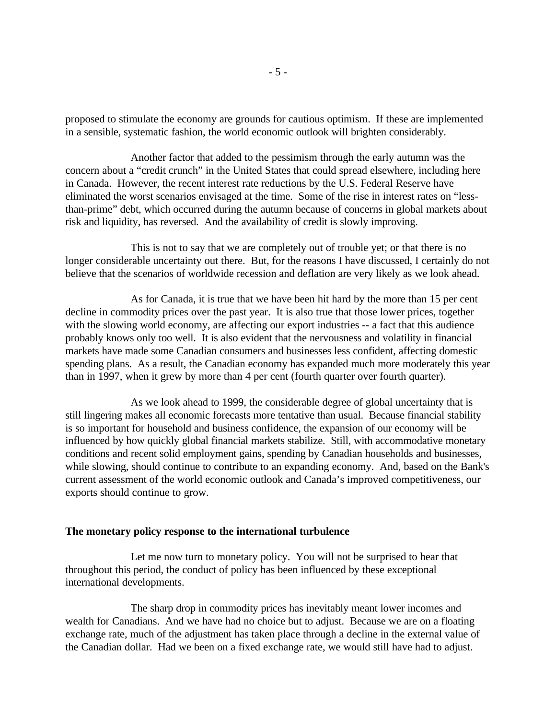proposed to stimulate the economy are grounds for cautious optimism. If these are implemented in a sensible, systematic fashion, the world economic outlook will brighten considerably.

Another factor that added to the pessimism through the early autumn was the concern about a "credit crunch" in the United States that could spread elsewhere, including here in Canada. However, the recent interest rate reductions by the U.S. Federal Reserve have eliminated the worst scenarios envisaged at the time. Some of the rise in interest rates on "lessthan-prime" debt, which occurred during the autumn because of concerns in global markets about risk and liquidity, has reversed. And the availability of credit is slowly improving.

This is not to say that we are completely out of trouble yet; or that there is no longer considerable uncertainty out there. But, for the reasons I have discussed, I certainly do not believe that the scenarios of worldwide recession and deflation are very likely as we look ahead.

As for Canada, it is true that we have been hit hard by the more than 15 per cent decline in commodity prices over the past year. It is also true that those lower prices, together with the slowing world economy, are affecting our export industries -- a fact that this audience probably knows only too well. It is also evident that the nervousness and volatility in financial markets have made some Canadian consumers and businesses less confident, affecting domestic spending plans. As a result, the Canadian economy has expanded much more moderately this year than in 1997, when it grew by more than 4 per cent (fourth quarter over fourth quarter).

As we look ahead to 1999, the considerable degree of global uncertainty that is still lingering makes all economic forecasts more tentative than usual. Because financial stability is so important for household and business confidence, the expansion of our economy will be influenced by how quickly global financial markets stabilize. Still, with accommodative monetary conditions and recent solid employment gains, spending by Canadian households and businesses, while slowing, should continue to contribute to an expanding economy. And, based on the Bank's current assessment of the world economic outlook and Canada's improved competitiveness, our exports should continue to grow.

# **The monetary policy response to the international turbulence**

Let me now turn to monetary policy. You will not be surprised to hear that throughout this period, the conduct of policy has been influenced by these exceptional international developments.

The sharp drop in commodity prices has inevitably meant lower incomes and wealth for Canadians. And we have had no choice but to adjust. Because we are on a floating exchange rate, much of the adjustment has taken place through a decline in the external value of the Canadian dollar. Had we been on a fixed exchange rate, we would still have had to adjust.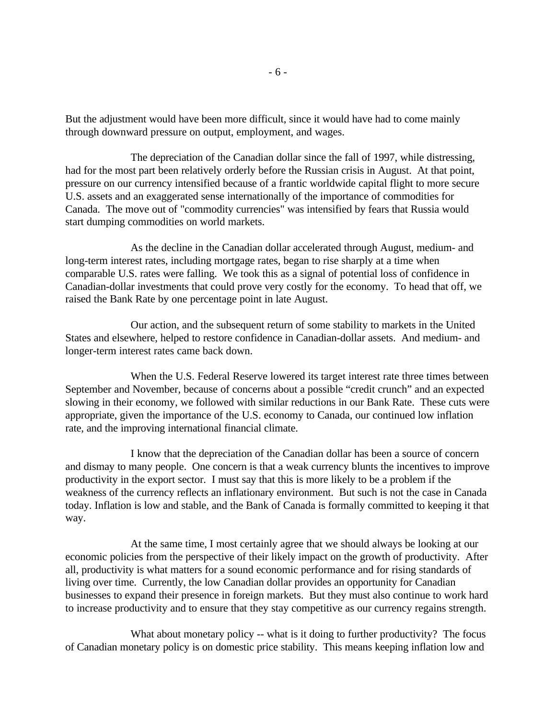But the adjustment would have been more difficult, since it would have had to come mainly through downward pressure on output, employment, and wages.

The depreciation of the Canadian dollar since the fall of 1997, while distressing, had for the most part been relatively orderly before the Russian crisis in August. At that point, pressure on our currency intensified because of a frantic worldwide capital flight to more secure U.S. assets and an exaggerated sense internationally of the importance of commodities for Canada. The move out of "commodity currencies" was intensified by fears that Russia would start dumping commodities on world markets.

As the decline in the Canadian dollar accelerated through August, medium- and long-term interest rates, including mortgage rates, began to rise sharply at a time when comparable U.S. rates were falling. We took this as a signal of potential loss of confidence in Canadian-dollar investments that could prove very costly for the economy. To head that off, we raised the Bank Rate by one percentage point in late August.

Our action, and the subsequent return of some stability to markets in the United States and elsewhere, helped to restore confidence in Canadian-dollar assets. And medium- and longer-term interest rates came back down.

When the U.S. Federal Reserve lowered its target interest rate three times between September and November, because of concerns about a possible "credit crunch" and an expected slowing in their economy, we followed with similar reductions in our Bank Rate. These cuts were appropriate, given the importance of the U.S. economy to Canada, our continued low inflation rate, and the improving international financial climate.

I know that the depreciation of the Canadian dollar has been a source of concern and dismay to many people. One concern is that a weak currency blunts the incentives to improve productivity in the export sector. I must say that this is more likely to be a problem if the weakness of the currency reflects an inflationary environment. But such is not the case in Canada today. Inflation is low and stable, and the Bank of Canada is formally committed to keeping it that way.

At the same time, I most certainly agree that we should always be looking at our economic policies from the perspective of their likely impact on the growth of productivity. After all, productivity is what matters for a sound economic performance and for rising standards of living over time. Currently, the low Canadian dollar provides an opportunity for Canadian businesses to expand their presence in foreign markets. But they must also continue to work hard to increase productivity and to ensure that they stay competitive as our currency regains strength.

What about monetary policy -- what is it doing to further productivity? The focus of Canadian monetary policy is on domestic price stability. This means keeping inflation low and